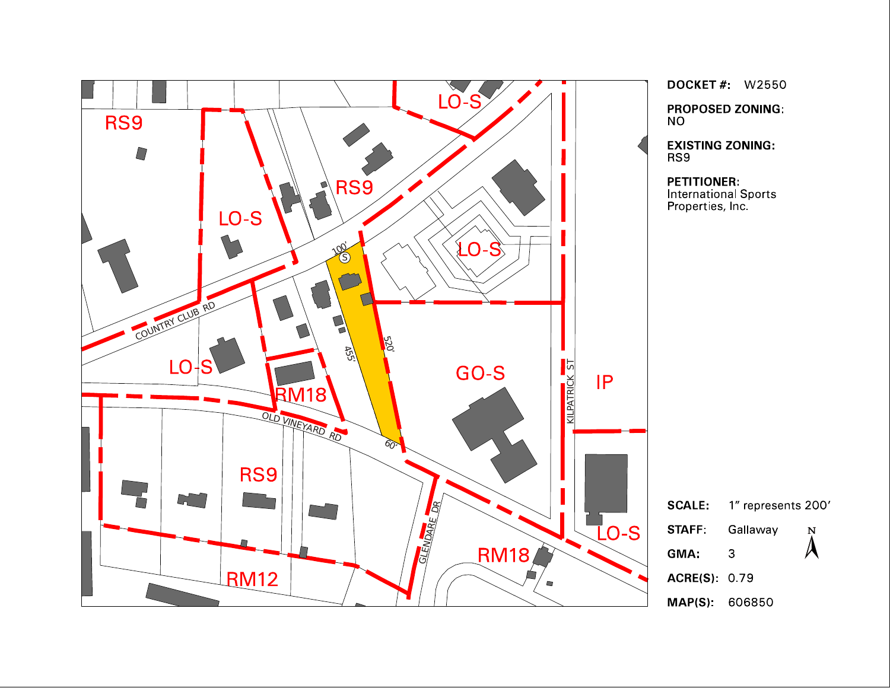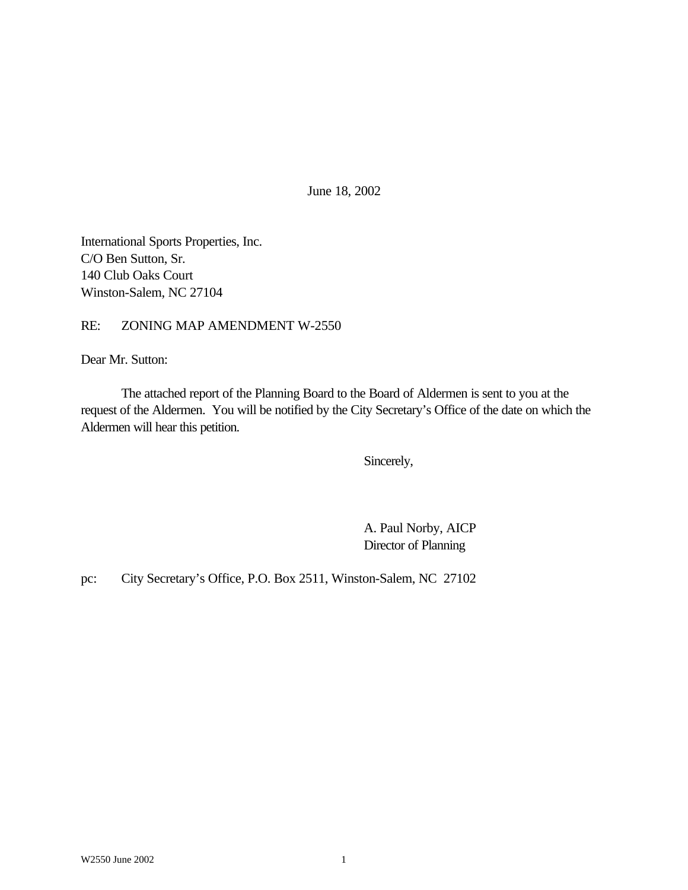June 18, 2002

International Sports Properties, Inc. C/O Ben Sutton, Sr. 140 Club Oaks Court Winston-Salem, NC 27104

RE: ZONING MAP AMENDMENT W-2550

Dear Mr. Sutton:

The attached report of the Planning Board to the Board of Aldermen is sent to you at the request of the Aldermen. You will be notified by the City Secretary's Office of the date on which the Aldermen will hear this petition.

Sincerely,

A. Paul Norby, AICP Director of Planning

pc: City Secretary's Office, P.O. Box 2511, Winston-Salem, NC 27102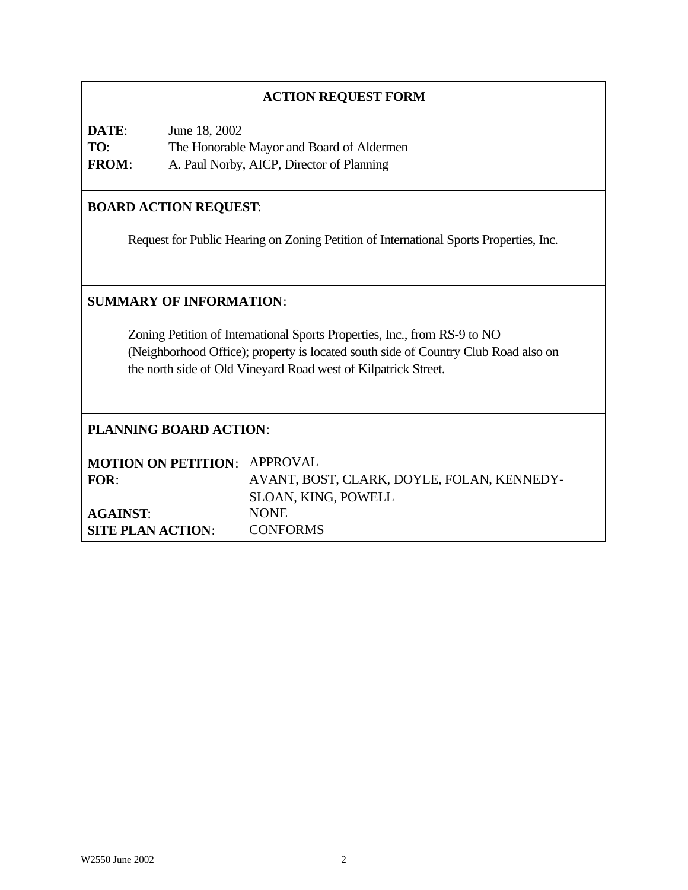## **ACTION REQUEST FORM**

| DATE:        | June 18, 2002                             |
|--------------|-------------------------------------------|
| TO:          | The Honorable Mayor and Board of Aldermen |
| <b>FROM:</b> | A. Paul Norby, AICP, Director of Planning |

## **BOARD ACTION REQUEST**:

Request for Public Hearing on Zoning Petition of International Sports Properties, Inc.

## **SUMMARY OF INFORMATION**:

Zoning Petition of International Sports Properties, Inc., from RS-9 to NO (Neighborhood Office); property is located south side of Country Club Road also on the north side of Old Vineyard Road west of Kilpatrick Street.

## **PLANNING BOARD ACTION**:

| <b>MOTION ON PETITION: APPROVAL</b> |                                            |
|-------------------------------------|--------------------------------------------|
| FOR:                                | AVANT, BOST, CLARK, DOYLE, FOLAN, KENNEDY- |
|                                     | <b>SLOAN, KING, POWELL</b>                 |
| <b>AGAINST:</b>                     | <b>NONE</b>                                |
| <b>SITE PLAN ACTION:</b>            | <b>CONFORMS</b>                            |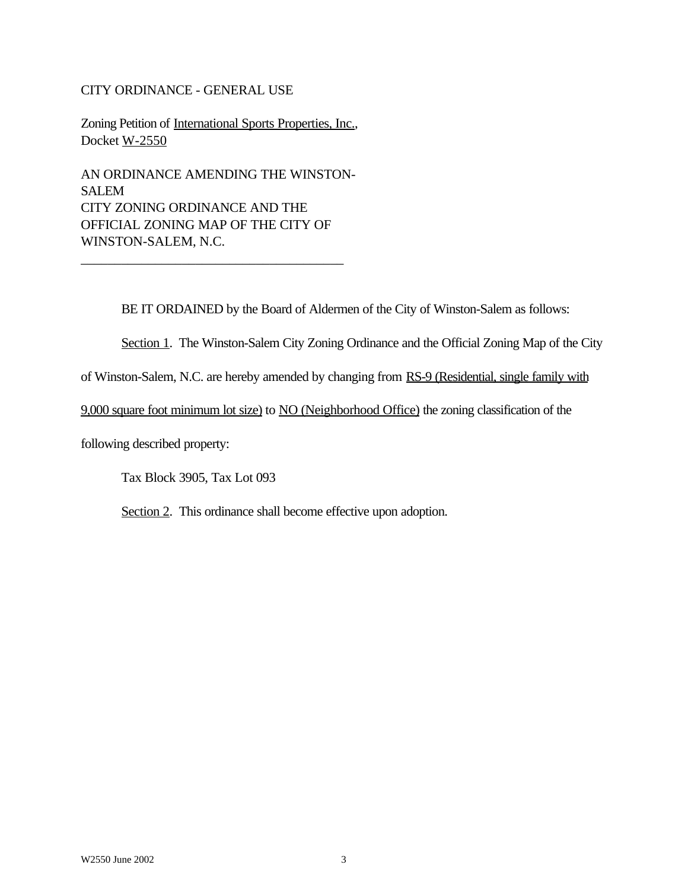## CITY ORDINANCE - GENERAL USE

Zoning Petition of International Sports Properties, Inc., Docket W-2550

AN ORDINANCE AMENDING THE WINSTON-SALEM CITY ZONING ORDINANCE AND THE OFFICIAL ZONING MAP OF THE CITY OF WINSTON-SALEM, N.C.

\_\_\_\_\_\_\_\_\_\_\_\_\_\_\_\_\_\_\_\_\_\_\_\_\_\_\_\_\_\_\_\_\_\_\_\_\_\_\_

BE IT ORDAINED by the Board of Aldermen of the City of Winston-Salem as follows:

Section 1. The Winston-Salem City Zoning Ordinance and the Official Zoning Map of the City

of Winston-Salem, N.C. are hereby amended by changing from RS-9 (Residential, single family with

9,000 square foot minimum lot size) to NO (Neighborhood Office) the zoning classification of the

following described property:

Tax Block 3905, Tax Lot 093

Section 2. This ordinance shall become effective upon adoption.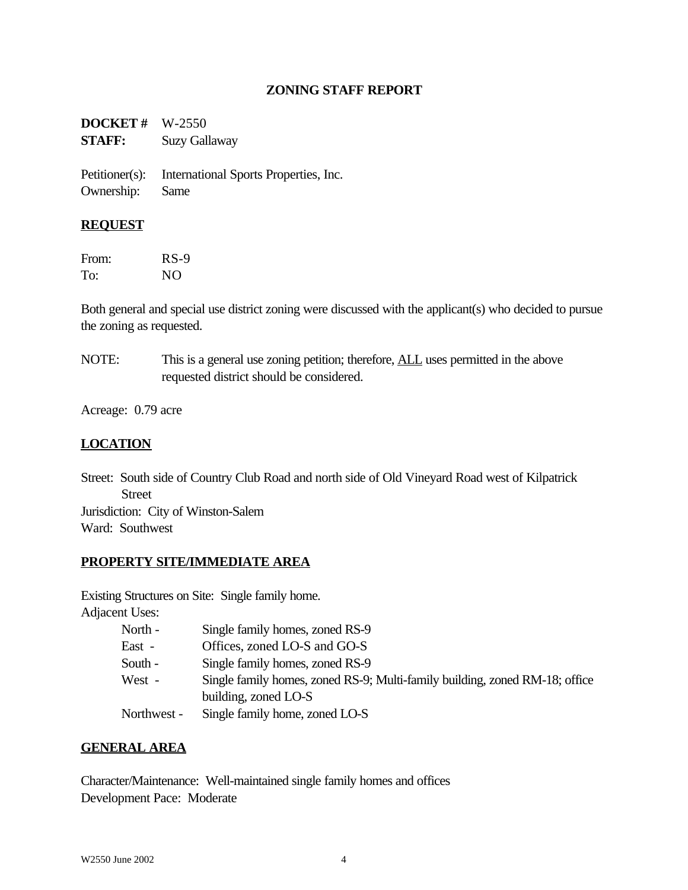## **ZONING STAFF REPORT**

**DOCKET #** W-2550 **STAFF:** Suzy Gallaway

Petitioner(s): International Sports Properties, Inc. Ownership: Same

#### **REQUEST**

From: RS-9 To: NO

Both general and special use district zoning were discussed with the applicant(s) who decided to pursue the zoning as requested.

NOTE: This is a general use zoning petition; therefore, **ALL** uses permitted in the above requested district should be considered.

Acreage: 0.79 acre

## **LOCATION**

Street: South side of Country Club Road and north side of Old Vineyard Road west of Kilpatrick Street Jurisdiction: City of Winston-Salem Ward: Southwest

## **PROPERTY SITE/IMMEDIATE AREA**

Existing Structures on Site: Single family home.

Adjacent Uses:

| North -     | Single family homes, zoned RS-9                                             |
|-------------|-----------------------------------------------------------------------------|
| East -      | Offices, zoned LO-S and GO-S                                                |
| South -     | Single family homes, zoned RS-9                                             |
| West -      | Single family homes, zoned RS-9; Multi-family building, zoned RM-18; office |
|             | building, zoned LO-S                                                        |
| Northwest - | Single family home, zoned LO-S                                              |

## **GENERAL AREA**

Character/Maintenance: Well-maintained single family homes and offices Development Pace: Moderate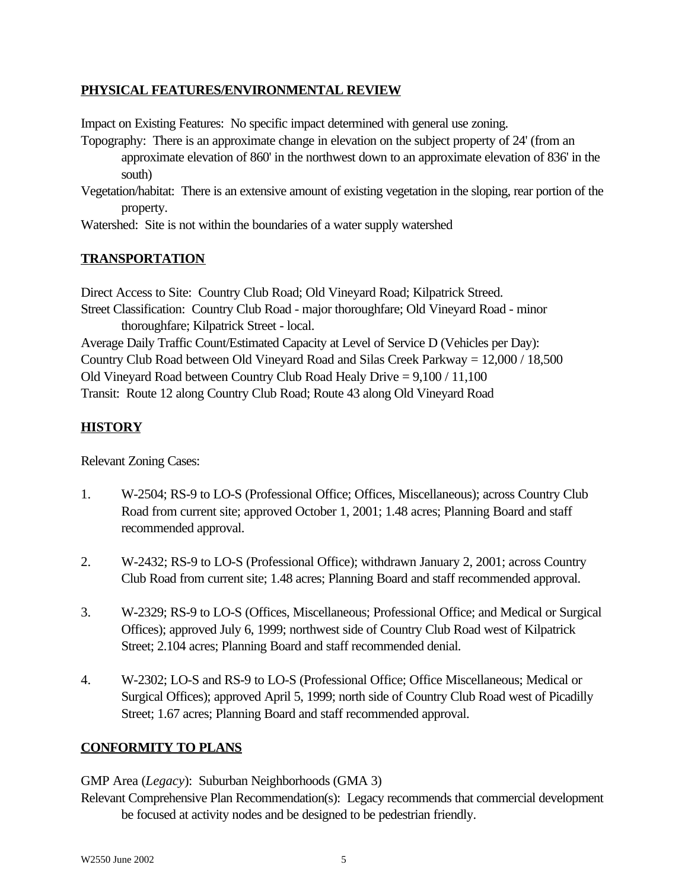## **PHYSICAL FEATURES/ENVIRONMENTAL REVIEW**

Impact on Existing Features: No specific impact determined with general use zoning.

- Topography: There is an approximate change in elevation on the subject property of 24' (from an approximate elevation of 860' in the northwest down to an approximate elevation of 836' in the south)
- Vegetation/habitat: There is an extensive amount of existing vegetation in the sloping, rear portion of the property.
- Watershed: Site is not within the boundaries of a water supply watershed

# **TRANSPORTATION**

Direct Access to Site: Country Club Road; Old Vineyard Road; Kilpatrick Streed. Street Classification: Country Club Road - major thoroughfare; Old Vineyard Road - minor thoroughfare; Kilpatrick Street - local. Average Daily Traffic Count/Estimated Capacity at Level of Service D (Vehicles per Day): Country Club Road between Old Vineyard Road and Silas Creek Parkway = 12,000 / 18,500 Old Vineyard Road between Country Club Road Healy Drive = 9,100 / 11,100 Transit: Route 12 along Country Club Road; Route 43 along Old Vineyard Road

# **HISTORY**

Relevant Zoning Cases:

- 1. W-2504; RS-9 to LO-S (Professional Office; Offices, Miscellaneous); across Country Club Road from current site; approved October 1, 2001; 1.48 acres; Planning Board and staff recommended approval.
- 2. W-2432; RS-9 to LO-S (Professional Office); withdrawn January 2, 2001; across Country Club Road from current site; 1.48 acres; Planning Board and staff recommended approval.
- 3. W-2329; RS-9 to LO-S (Offices, Miscellaneous; Professional Office; and Medical or Surgical Offices); approved July 6, 1999; northwest side of Country Club Road west of Kilpatrick Street; 2.104 acres; Planning Board and staff recommended denial.
- 4. W-2302; LO-S and RS-9 to LO-S (Professional Office; Office Miscellaneous; Medical or Surgical Offices); approved April 5, 1999; north side of Country Club Road west of Picadilly Street; 1.67 acres; Planning Board and staff recommended approval.

## **CONFORMITY TO PLANS**

GMP Area (*Legacy*): Suburban Neighborhoods (GMA 3)

Relevant Comprehensive Plan Recommendation(s): Legacy recommends that commercial development be focused at activity nodes and be designed to be pedestrian friendly.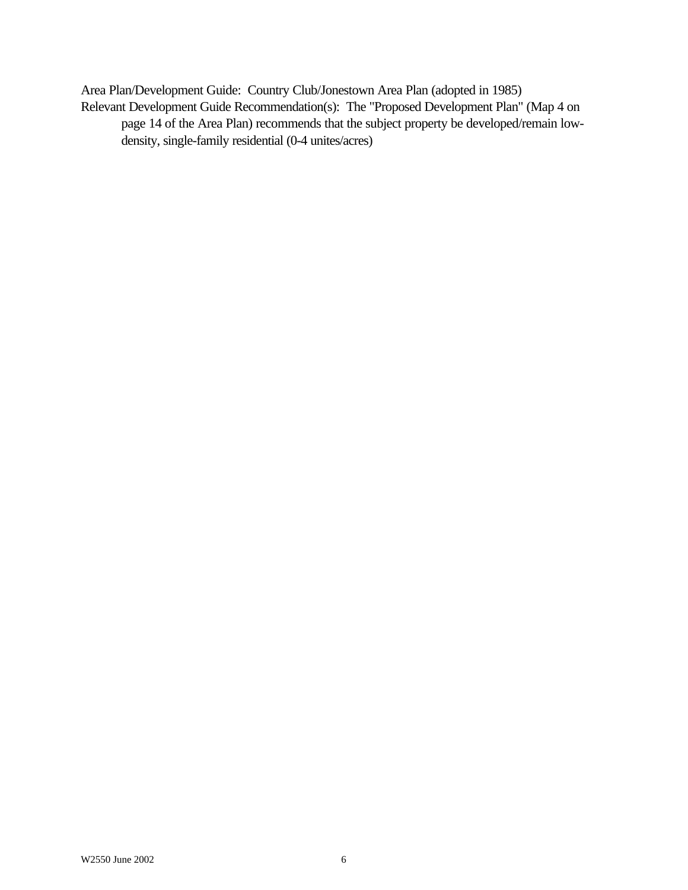Area Plan/Development Guide: Country Club/Jonestown Area Plan (adopted in 1985) Relevant Development Guide Recommendation(s): The "Proposed Development Plan" (Map 4 on page 14 of the Area Plan) recommends that the subject property be developed/remain lowdensity, single-family residential (0-4 unites/acres)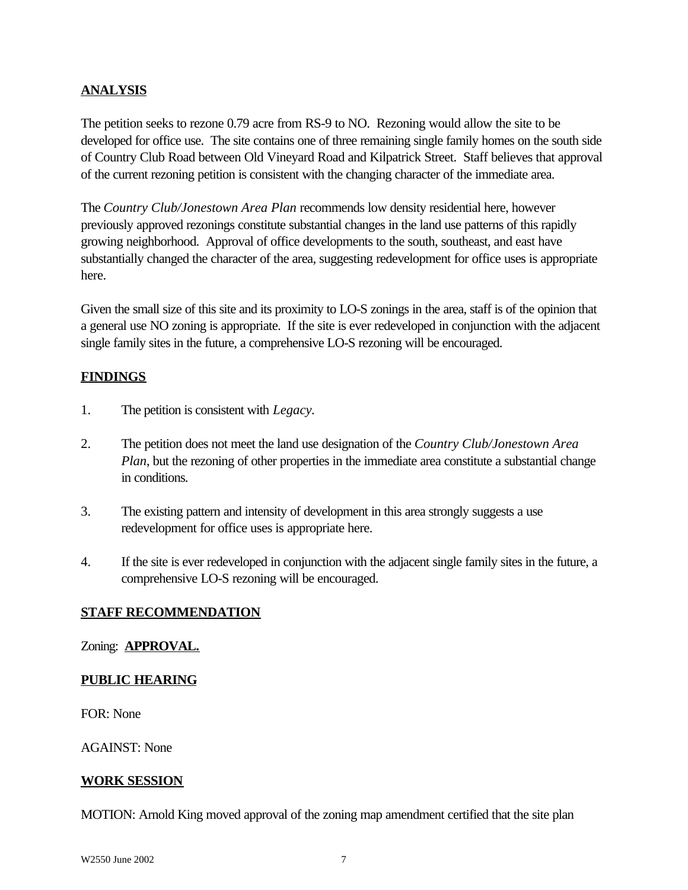## **ANALYSIS**

The petition seeks to rezone 0.79 acre from RS-9 to NO. Rezoning would allow the site to be developed for office use. The site contains one of three remaining single family homes on the south side of Country Club Road between Old Vineyard Road and Kilpatrick Street. Staff believes that approval of the current rezoning petition is consistent with the changing character of the immediate area.

The *Country Club/Jonestown Area Plan* recommends low density residential here, however previously approved rezonings constitute substantial changes in the land use patterns of this rapidly growing neighborhood. Approval of office developments to the south, southeast, and east have substantially changed the character of the area, suggesting redevelopment for office uses is appropriate here.

Given the small size of this site and its proximity to LO-S zonings in the area, staff is of the opinion that a general use NO zoning is appropriate. If the site is ever redeveloped in conjunction with the adjacent single family sites in the future, a comprehensive LO-S rezoning will be encouraged.

## **FINDINGS**

- 1. The petition is consistent with *Legacy.*
- 2. The petition does not meet the land use designation of the *Country Club/Jonestown Area Plan*, but the rezoning of other properties in the immediate area constitute a substantial change in conditions.
- 3. The existing pattern and intensity of development in this area strongly suggests a use redevelopment for office uses is appropriate here.
- 4. If the site is ever redeveloped in conjunction with the adjacent single family sites in the future, a comprehensive LO-S rezoning will be encouraged.

## **STAFF RECOMMENDATION**

#### Zoning: **APPROVAL.**

#### **PUBLIC HEARING**

FOR: None

AGAINST: None

## **WORK SESSION**

MOTION: Arnold King moved approval of the zoning map amendment certified that the site plan